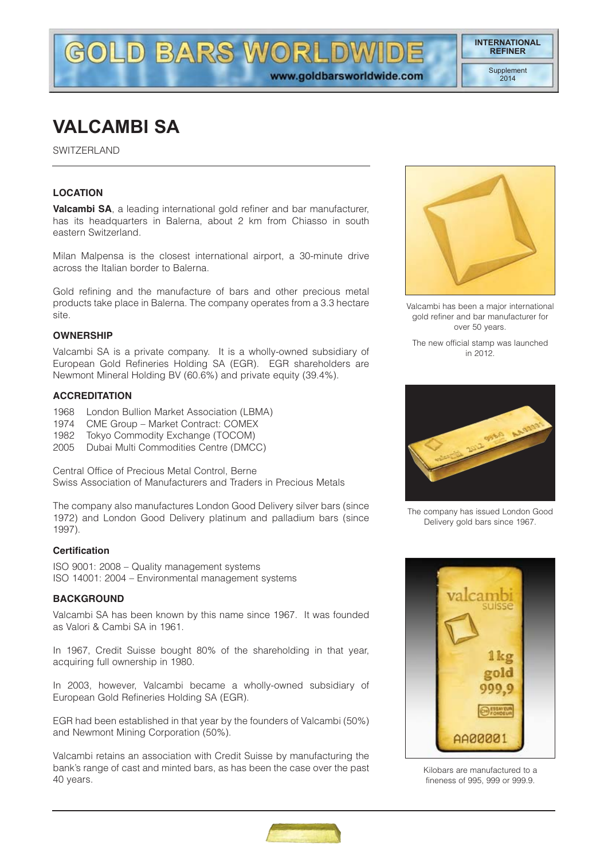www.goldbarsworldwide.com

# **VALCAMBI SA**

SWITZERLAND

## **LOCATION**

**Valcambi SA**, a leading international gold refiner and bar manufacturer, has its headquarters in Balerna, about 2 km from Chiasso in south eastern Switzerland.

**LD BARS WORLDW** 

Milan Malpensa is the closest international airport, a 30-minute drive across the Italian border to Balerna.

Gold refining and the manufacture of bars and other precious metal products take place in Balerna. The company operates from a 3.3 hectare site.

#### **OWNERSHIP**

Valcambi SA is a private company. It is a wholly-owned subsidiary of European Gold Refineries Holding SA (EGR). EGR shareholders are Newmont Mineral Holding BV (60.6%) and private equity (39.4%).

#### **ACCREDITATION**

- 1968 London Bullion Market Association (LBMA)
- 1974 CME Group Market Contract: COMEX
- 1982 Tokyo Commodity Exchange (TOCOM)
- 2005 Dubai Multi Commodities Centre (DMCC)

Central Office of Precious Metal Control, Berne Swiss Association of Manufacturers and Traders in Precious Metals

The company also manufactures London Good Delivery silver bars (since 1972) and London Good Delivery platinum and palladium bars (since 1997).

#### **Certification**

ISO 9001: 2008 – Quality management systems ISO 14001: 2004 – Environmental management systems

## **BACKGROUND**

Valcambi SA has been known by this name since 1967. It was founded as Valori & Cambi SA in 1961.

In 1967, Credit Suisse bought 80% of the shareholding in that year, acquiring full ownership in 1980.

In 2003, however, Valcambi became a wholly-owned subsidiary of European Gold Refineries Holding SA (EGR).

EGR had been established in that year by the founders of Valcambi (50%) and Newmont Mining Corporation (50%).

Valcambi retains an association with Credit Suisse by manufacturing the bank's range of cast and minted bars, as has been the case over the past 40 years.



Valcambi has been a major international gold refiner and bar manufacturer for over 50 years.

The new official stamp was launched in 2012.



The company has issued London Good Delivery gold bars since 1967.



Kilobars are manufactured to a fineness of 995, 999 or 999.9.

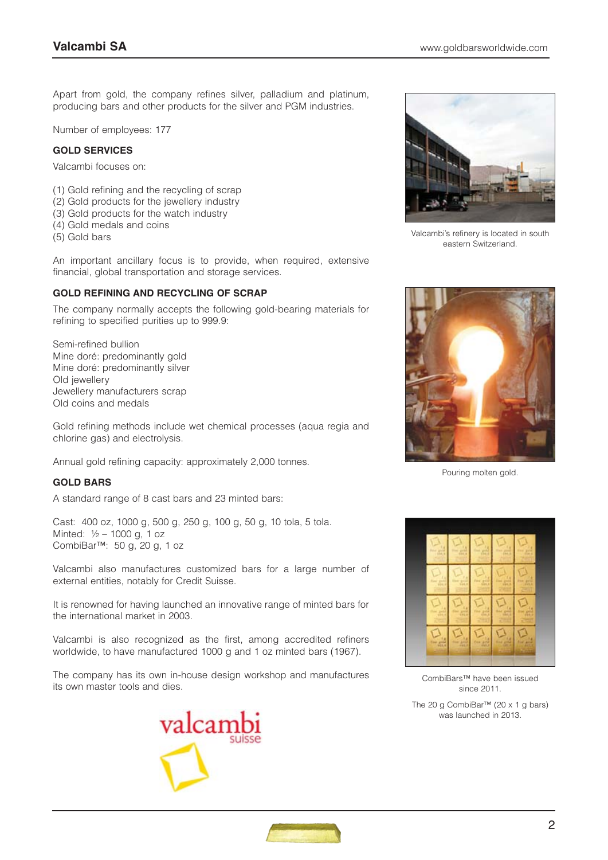Apart from gold, the company refines silver, palladium and platinum, producing bars and other products for the silver and PGM industries.

Number of employees: 177

#### **GOLD SERVICES**

Valcambi focuses on:

- (1) Gold refining and the recycling of scrap
- (2) Gold products for the jewellery industry
- (3) Gold products for the watch industry
- (4) Gold medals and coins
- (5) Gold bars

An important ancillary focus is to provide, when required, extensive financial, global transportation and storage services.

#### **GOLD REFINING AND RECYCLING OF SCRAP**

The company normally accepts the following gold-bearing materials for refining to specified purities up to 999.9:

Semi-refined bullion Mine doré: predominantly gold Mine doré: predominantly silver Old jewellery Jewellery manufacturers scrap Old coins and medals

Gold refining methods include wet chemical processes (aqua regia and chlorine gas) and electrolysis.

Annual gold refining capacity: approximately 2,000 tonnes.

## **GOLD BARS**

A standard range of 8 cast bars and 23 minted bars:

Cast: 400 oz, 1000 g, 500 g, 250 g, 100 g, 50 g, 10 tola, 5 tola. Minted: ½ – 1000 g, 1 oz CombiBar™: 50 g, 20 g, 1 oz

Valcambi also manufactures customized bars for a large number of external entities, notably for Credit Suisse.

It is renowned for having launched an innovative range of minted bars for the international market in 2003.

Valcambi is also recognized as the first, among accredited refiners worldwide, to have manufactured 1000 g and 1 oz minted bars (1967).

The company has its own in-house design workshop and manufactures its own master tools and dies.





Valcambi's refinery is located in south eastern Switzerland.



Pouring molten gold.



CombiBars™ have been issued since 2011.

The 20 g CombiBar™ (20 x 1 g bars) was launched in 2013.

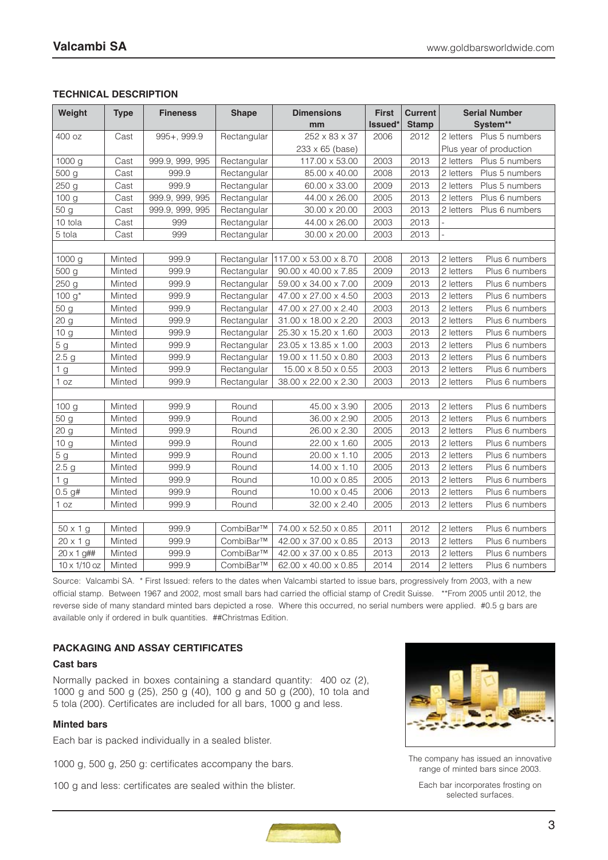## **TECHNICAL DESCRIPTION**

| Weight              | <b>Type</b> | <b>Fineness</b> | <b>Shape</b> | <b>Dimensions</b><br>mm | <b>First</b><br>Issued* | <b>Current</b><br><b>Stamp</b> | <b>Serial Number</b><br>System** |                          |  |  |  |  |
|---------------------|-------------|-----------------|--------------|-------------------------|-------------------------|--------------------------------|----------------------------------|--------------------------|--|--|--|--|
| 400 oz              | Cast        | 995+, 999.9     | Rectangular  | 252 x 83 x 37           | 2006                    | 2012                           |                                  | 2 letters Plus 5 numbers |  |  |  |  |
|                     |             |                 |              | 233 x 65 (base)         |                         |                                |                                  | Plus year of production  |  |  |  |  |
| 1000 g              | Cast        | 999.9, 999, 995 | Rectangular  | 117.00 x 53.00          | 2003                    | 2013                           | 2 letters                        | Plus 5 numbers           |  |  |  |  |
| 500 g               | Cast        | 999.9           | Rectangular  | 85.00 x 40.00           | 2008                    | 2013                           | 2 letters                        | Plus 5 numbers           |  |  |  |  |
| 250 <sub>g</sub>    | Cast        | 999.9           | Rectangular  | 60.00 x 33.00           | 2009                    | 2013                           | 2 letters                        | Plus 5 numbers           |  |  |  |  |
| 100 g               | Cast        | 999.9, 999, 995 | Rectangular  | 44.00 x 26.00           | 2005                    | 2013                           | 2 letters                        | Plus 6 numbers           |  |  |  |  |
| 50 g                | Cast        | 999.9, 999, 995 | Rectangular  | 30.00 x 20.00           | 2003                    | 2013                           | 2 letters                        | Plus 6 numbers           |  |  |  |  |
| 10 tola             | Cast        | 999             | Rectangular  | 44.00 x 26.00           | 2003                    | 2013                           |                                  |                          |  |  |  |  |
| 5 tola              | Cast        | 999             | Rectangular  | 30.00 x 20.00           | 2003                    | 2013                           | $\overline{a}$                   |                          |  |  |  |  |
|                     |             |                 |              |                         |                         |                                |                                  |                          |  |  |  |  |
| 1000 g              | Minted      | 999.9           | Rectangular  | 117.00 x 53.00 x 8.70   | 2008                    | 2013                           | 2 letters                        | Plus 6 numbers           |  |  |  |  |
| 500 g               | Minted      | 999.9           | Rectangular  | 90.00 x 40.00 x 7.85    | 2009                    | 2013                           | 2 letters                        | Plus 6 numbers           |  |  |  |  |
| 250 g               | Minted      | 999.9           | Rectangular  | 59.00 x 34.00 x 7.00    | 2009                    | 2013                           | 2 letters                        | Plus 6 numbers           |  |  |  |  |
| 100 $g^*$           | Minted      | 999.9           | Rectangular  | 47.00 x 27.00 x 4.50    | 2003                    | 2013                           | 2 letters                        | Plus 6 numbers           |  |  |  |  |
| 50 g                | Minted      | 999.9           | Rectangular  | 47.00 x 27.00 x 2.40    | 2003                    | 2013                           | 2 letters                        | Plus 6 numbers           |  |  |  |  |
| 20 <sub>g</sub>     | Minted      | 999.9           | Rectangular  | 31.00 x 18.00 x 2.20    | 2003                    | 2013                           | 2 letters                        | Plus 6 numbers           |  |  |  |  |
| 10 <sub>g</sub>     | Minted      | 999.9           | Rectangular  | 25.30 x 15.20 x 1.60    | 2003                    | 2013                           | 2 letters                        | Plus 6 numbers           |  |  |  |  |
| 5 <sub>g</sub>      | Minted      | 999.9           | Rectangular  | 23.05 x 13.85 x 1.00    | 2003                    | 2013                           | 2 letters                        | Plus 6 numbers           |  |  |  |  |
| 2.5 <sub>g</sub>    | Minted      | 999.9           | Rectangular  | 19.00 x 11.50 x 0.80    | 2003                    | 2013                           | 2 letters                        | Plus 6 numbers           |  |  |  |  |
| 1 g                 | Minted      | 999.9           | Rectangular  | 15.00 x 8.50 x 0.55     | 2003                    | 2013                           | 2 letters                        | Plus 6 numbers           |  |  |  |  |
| 1 oz                | Minted      | 999.9           | Rectangular  | 38.00 x 22.00 x 2.30    | 2003                    | 2013                           | 2 letters                        | Plus 6 numbers           |  |  |  |  |
|                     |             |                 |              |                         |                         |                                |                                  |                          |  |  |  |  |
| 100 g               | Minted      | 999.9           | Round        | 45.00 x 3.90            | 2005                    | 2013                           | 2 letters                        | Plus 6 numbers           |  |  |  |  |
| 50 g                | Minted      | 999.9           | Round        | 36.00 x 2.90            | 2005                    | 2013                           | 2 letters                        | Plus 6 numbers           |  |  |  |  |
| 20 g                | Minted      | 999.9           | Round        | 26.00 x 2.30            | 2005                    | 2013                           | 2 letters                        | Plus 6 numbers           |  |  |  |  |
| 10 g                | Minted      | 999.9           | Round        | 22.00 x 1.60            | 2005                    | 2013                           | 2 letters                        | Plus 6 numbers           |  |  |  |  |
| 5 <sub>g</sub>      | Minted      | 999.9           | Round        | 20.00 x 1.10            | 2005                    | 2013                           | 2 letters                        | Plus 6 numbers           |  |  |  |  |
| 2.5 <sub>g</sub>    | Minted      | 999.9           | Round        | 14.00 x 1.10            | 2005                    | 2013                           | 2 letters                        | Plus 6 numbers           |  |  |  |  |
| 1 <sub>g</sub>      | Minted      | 999.9           | Round        | $10.00 \times 0.85$     | 2005                    | 2013                           | 2 letters                        | Plus 6 numbers           |  |  |  |  |
| 0.5 g#              | Minted      | 999.9           | Round        | $10.00 \times 0.45$     | 2006                    | 2013                           | 2 letters                        | Plus 6 numbers           |  |  |  |  |
| 1 oz                | Minted      | 999.9           | Round        | 32.00 x 2.40            | 2005                    | 2013                           | 2 letters                        | Plus 6 numbers           |  |  |  |  |
|                     |             |                 |              |                         |                         |                                |                                  |                          |  |  |  |  |
| $50 \times 1$ g     | Minted      | 999.9           | CombiBar™    | 74.00 x 52.50 x 0.85    | 2011                    | 2012                           | 2 letters                        | Plus 6 numbers           |  |  |  |  |
| $20 \times 1$ g     | Minted      | 999.9           | CombiBar™    | 42.00 x 37.00 x 0.85    | 2013                    | 2013                           | 2 letters                        | Plus 6 numbers           |  |  |  |  |
| $20 \times 1$ g##   | Minted      | 999.9           | CombiBar™    | 42.00 x 37.00 x 0.85    | 2013                    | 2013                           | 2 letters                        | Plus 6 numbers           |  |  |  |  |
| $10 \times 1/10$ oz | Minted      | 999.9           | CombiBar™    | 62.00 x 40.00 x 0.85    | 2014                    | 2014                           | 2 letters                        | Plus 6 numbers           |  |  |  |  |

Source: Valcambi SA. \* First Issued: refers to the dates when Valcambi started to issue bars, progressively from 2003, with a new official stamp. Between 1967 and 2002, most small bars had carried the official stamp of Credit Suisse. \*\*From 2005 until 2012, the reverse side of many standard minted bars depicted a rose. Where this occurred, no serial numbers were applied. #0.5 g bars are available only if ordered in bulk quantities. ##Christmas Edition.

## **PACKAGING AND ASSAY CERTIFICATES**

#### **Cast bars**

Normally packed in boxes containing a standard quantity: 400 oz (2), 1000 g and 500 g (25), 250 g (40), 100 g and 50 g (200), 10 tola and 5 tola (200). Certificates are included for all bars, 1000 g and less.

## **Minted bars**

Each bar is packed individually in a sealed blister.

1000 g, 500 g, 250 g: certificates accompany the bars.

100 g and less: certificates are sealed within the blister.



The company has issued an innovative range of minted bars since 2003.

Each bar incorporates frosting on selected surfaces.

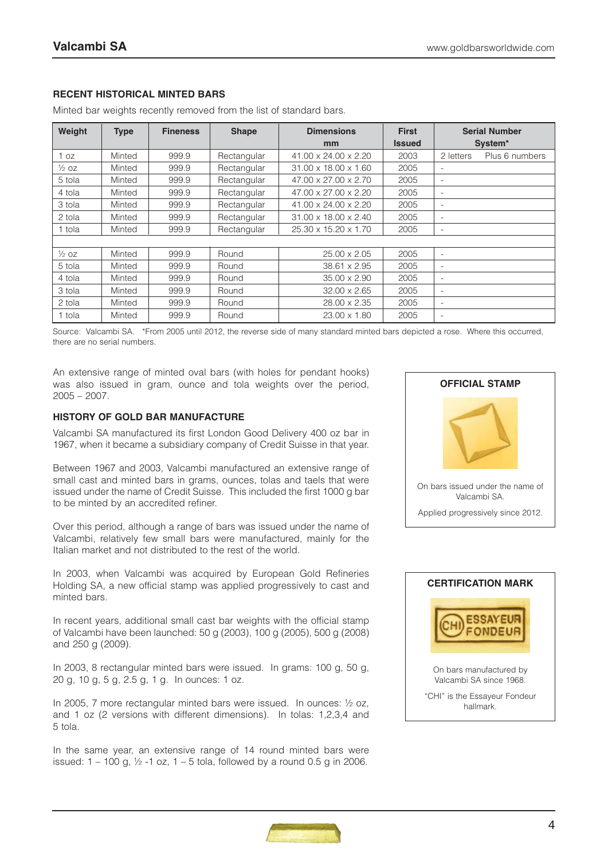## **RECENT HISTORICAL MINTED BARS**

| Weight           | <b>Type</b> | <b>Fineness</b> | <b>Shape</b> | <b>Dimensions</b>                | <b>First</b>  | <b>Serial Number</b>     |                |
|------------------|-------------|-----------------|--------------|----------------------------------|---------------|--------------------------|----------------|
|                  |             |                 |              | mm                               | <b>Issued</b> | System <sup>*</sup>      |                |
| 1 oz             | Minted      | 999.9           | Rectangular  | 41.00 x 24.00 x 2.20             | 2003          | 2 letters                | Plus 6 numbers |
| $\frac{1}{2}$ oz | Minted      | 999.9           | Rectangular  | $31.00 \times 18.00 \times 1.60$ | 2005          | -                        |                |
| 5 tola           | Minted      | 999.9           | Rectangular  | 47.00 x 27.00 x 2.70             | 2005          | -                        |                |
| 4 tola           | Minted      | 999.9           | Rectangular  | 47.00 x 27.00 x 2.20             | 2005          | -                        |                |
| 3 tola           | Minted      | 999.9           | Rectangular  | 41.00 x 24.00 x 2.20             | 2005          | $\overline{\phantom{0}}$ |                |
| 2 tola           | Minted      | 999.9           | Rectangular  | 31.00 x 18.00 x 2.40             | 2005          | ۰                        |                |
| 1 tola           | Minted      | 999.9           | Rectangular  | 25.30 x 15.20 x 1.70             | 2005          | -                        |                |
|                  |             |                 |              |                                  |               |                          |                |
| $\frac{1}{2}$ oz | Minted      | 999.9           | Round        | 25.00 x 2.05                     | 2005          | -                        |                |
| 5 tola           | Minted      | 999.9           | Round        | 38.61 x 2.95                     | 2005          | -                        |                |
| 4 tola           | Minted      | 999.9           | Round        | $35.00 \times 2.90$              | 2005          | $\overline{\phantom{0}}$ |                |
| 3 tola           | Minted      | 999.9           | Round        | $32.00 \times 2.65$              | 2005          | -                        |                |
| 2 tola           | Minted      | 999.9           | Round        | 28.00 x 2.35                     | 2005          | -                        |                |
| 1 tola           | Minted      | 999.9           | Round        | 23.00 x 1.80                     | 2005          | $\overline{\phantom{0}}$ |                |

Minted bar weights recently removed from the list of standard bars.

Source: Valcambi SA. \*From 2005 until 2012, the reverse side of many standard minted bars depicted a rose. Where this occurred, there are no serial numbers.

An extensive range of minted oval bars (with holes for pendant hooks) was also issued in gram, ounce and tola weights over the period, 2005 – 2007.

#### **HISTORY OF GOLD BAR MANUFACTURE**

Valcambi SA manufactured its first London Good Delivery 400 oz bar in 1967, when it became a subsidiary company of Credit Suisse in that year.

Between 1967 and 2003, Valcambi manufactured an extensive range of small cast and minted bars in grams, ounces, tolas and taels that were issued under the name of Credit Suisse. This included the first 1000 g bar to be minted by an accredited refiner.

Over this period, although a range of bars was issued under the name of Valcambi, relatively few small bars were manufactured, mainly for the Italian market and not distributed to the rest of the world.

In 2003, when Valcambi was acquired by European Gold Refineries Holding SA, a new official stamp was applied progressively to cast and minted bars.

In recent years, additional small cast bar weights with the official stamp of Valcambi have been launched: 50 g (2003), 100 g (2005), 500 g (2008) and 250 g (2009).

In 2003, 8 rectangular minted bars were issued. In grams: 100 g, 50 g, 20 g, 10 g, 5 g, 2.5 g, 1 g. In ounces: 1 oz.

In 2005, 7 more rectangular minted bars were issued. In ounces: ½ oz, and 1 oz (2 versions with different dimensions). In tolas: 1,2,3,4 and 5 tola.

In the same year, an extensive range of 14 round minted bars were issued:  $1 - 100$  g,  $\frac{1}{2} - 1$  oz,  $1 - 5$  tola, followed by a round 0.5 g in 2006.





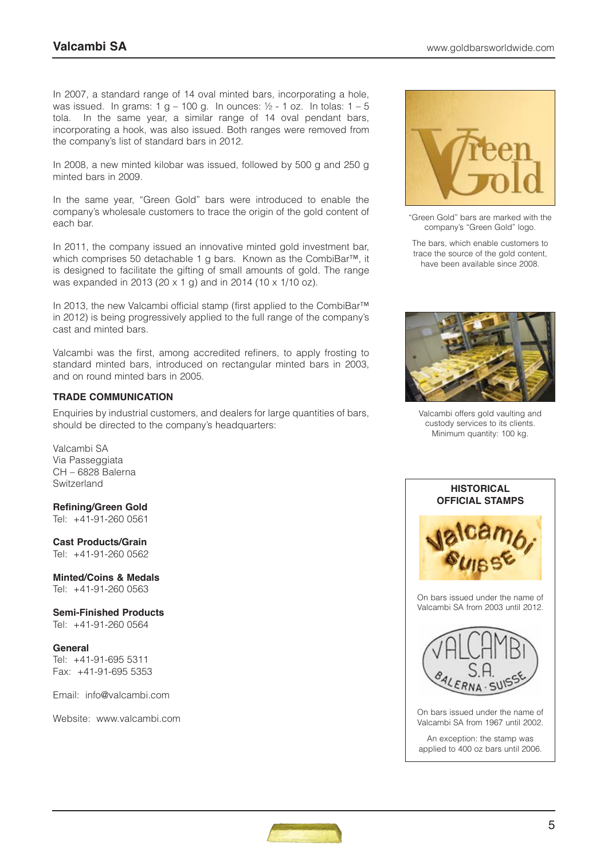In 2007, a standard range of 14 oval minted bars, incorporating a hole, was issued. In grams:  $1 g - 100 g$ . In ounces:  $\frac{1}{2} - 1$  oz. In tolas:  $1 - 5$ tola. In the same year, a similar range of 14 oval pendant bars, incorporating a hook, was also issued. Both ranges were removed from the company's list of standard bars in 2012.

In 2008, a new minted kilobar was issued, followed by 500 g and 250 g minted bars in 2009.

In the same year, "Green Gold" bars were introduced to enable the company's wholesale customers to trace the origin of the gold content of each bar.

In 2011, the company issued an innovative minted gold investment bar, which comprises 50 detachable 1 g bars. Known as the CombiBar™, it is designed to facilitate the gifting of small amounts of gold. The range was expanded in 2013 (20 x 1 g) and in 2014 (10 x 1/10 oz).

In 2013, the new Valcambi official stamp (first applied to the CombiBar™ in 2012) is being progressively applied to the full range of the company's cast and minted bars.

Valcambi was the first, among accredited refiners, to apply frosting to standard minted bars, introduced on rectangular minted bars in 2003, and on round minted bars in 2005.

## **TRADE COMMUNICATION**

Enquiries by industrial customers, and dealers for large quantities of bars, should be directed to the company's headquarters:

Valcambi SA Via Passeggiata CH – 6828 Balerna **Switzerland** 

**Refining/Green Gold** Tel: +41-91-260 0561

**Cast Products/Grain** Tel: +41-91-260 0562

**Minted/Coins & Medals** Tel: +41-91-260 0563

**Semi-Finished Products** Tel: +41-91-260 0564

**General** Tel: +41-91-695 5311 Fax: +41-91-695 5353

Email: info@valcambi.com

Website: www.valcambi.com



"Green Gold" bars are marked with the company's "Green Gold" logo.

The bars, which enable customers to trace the source of the gold content, have been available since 2008.



Valcambi offers gold vaulting and custody services to its clients. Minimum quantity: 100 kg.



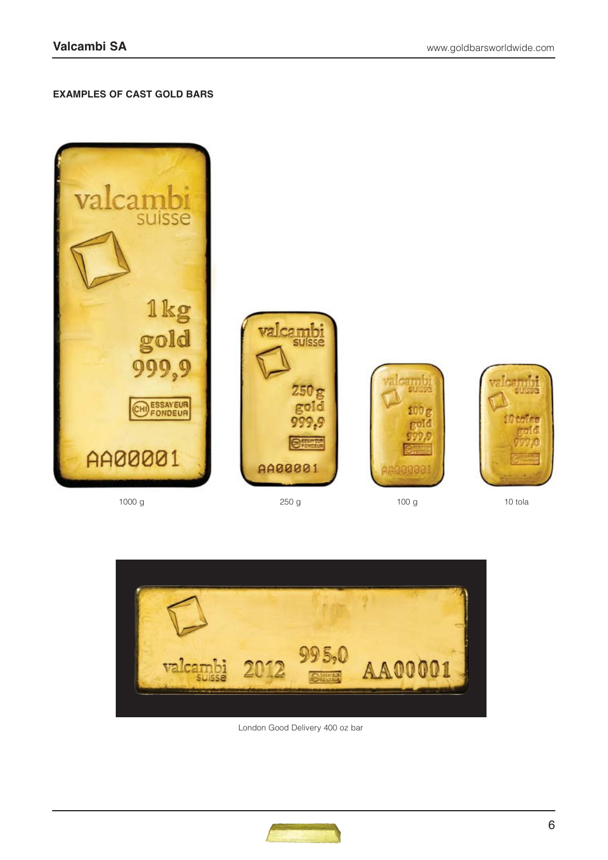## **EXAMPLES OF CAST GOLD BARS**



1000 g 10 tola 250 g 250 g 100 g 100 g 10 tola



London Good Delivery 400 oz bar

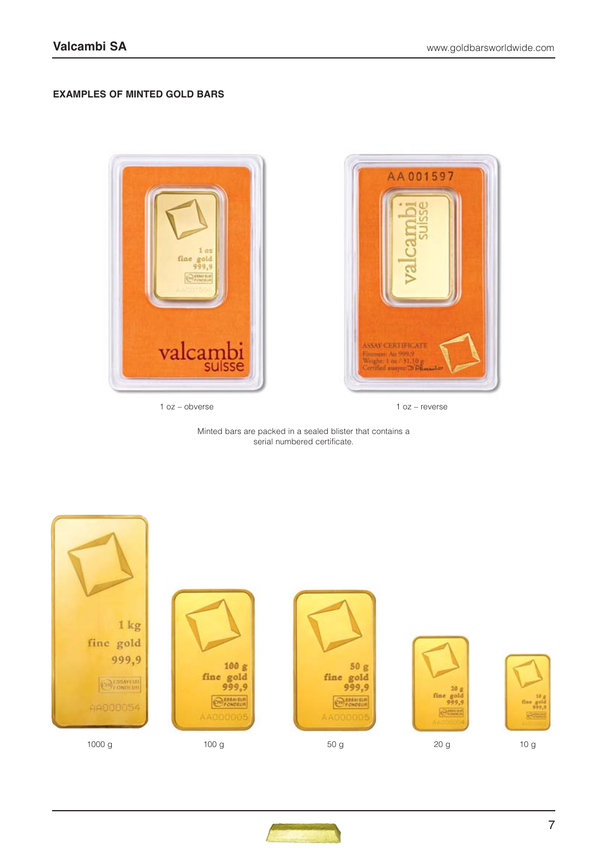## **EXAMPLES OF MINTED GOLD BARS**



1 oz – obverse



1 oz – reverse

Minted bars are packed in a sealed blister that contains a serial numbered certificate.



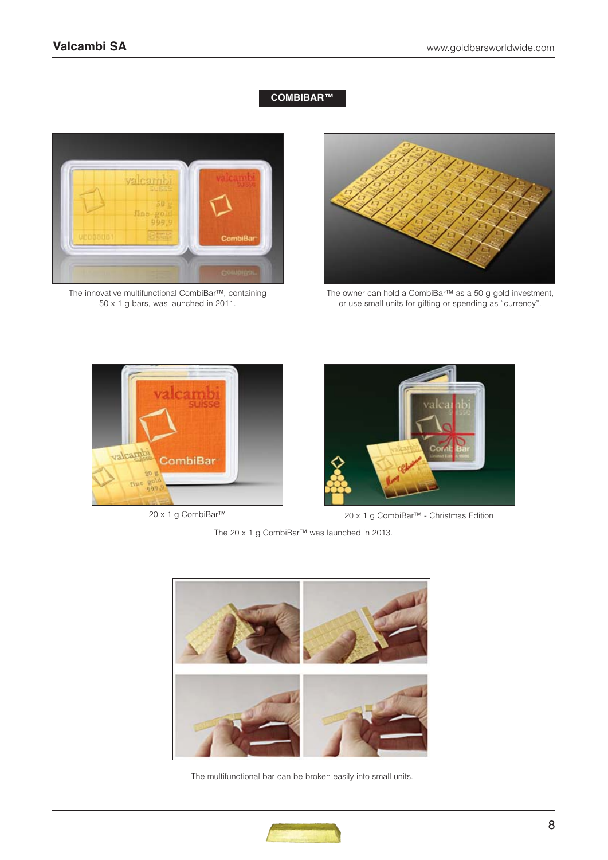## **COMBIBAR™**



The innovative multifunctional CombiBar™, containing 50 x 1 g bars, was launched in 2011.



The owner can hold a CombiBar™ as a 50 g gold investment, or use small units for gifting or spending as "currency".





20 x 1 g CombiBar™ 20 x 1 g CombiBar™ - Christmas Edition

The 20 x 1 g CombiBar™ was launched in 2013.



The multifunctional bar can be broken easily into small units.

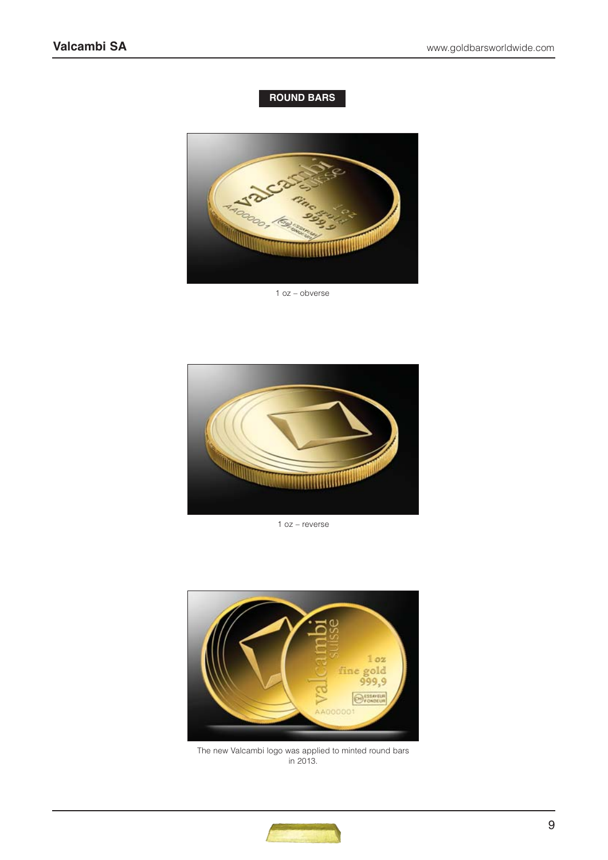## **ROUND BARS**



1 oz – obverse



1 oz – reverse



The new Valcambi logo was applied to minted round bars in 2013.